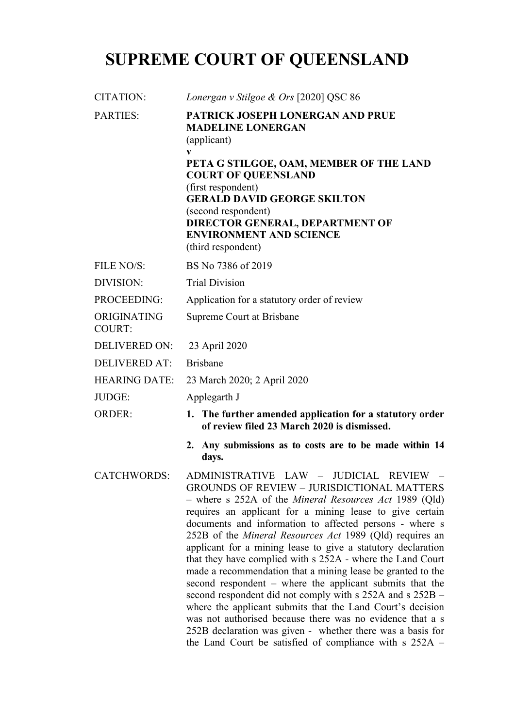# **SUPREME COURT OF QUEENSLAND**

| CITATION:                    | Lonergan v Stilgoe & Ors [2020] QSC 86                                                                                                                                                                                                                                                                                                                                                                                                                                                                                                                                                                                                                                                                                                                                                                                                                                                                                                         |
|------------------------------|------------------------------------------------------------------------------------------------------------------------------------------------------------------------------------------------------------------------------------------------------------------------------------------------------------------------------------------------------------------------------------------------------------------------------------------------------------------------------------------------------------------------------------------------------------------------------------------------------------------------------------------------------------------------------------------------------------------------------------------------------------------------------------------------------------------------------------------------------------------------------------------------------------------------------------------------|
| <b>PARTIES:</b>              | PATRICK JOSEPH LONERGAN AND PRUE<br><b>MADELINE LONERGAN</b><br>(applicant)<br>V<br>PETA G STILGOE, OAM, MEMBER OF THE LAND<br><b>COURT OF QUEENSLAND</b><br>(first respondent)<br><b>GERALD DAVID GEORGE SKILTON</b><br>(second respondent)<br>DIRECTOR GENERAL, DEPARTMENT OF<br><b>ENVIRONMENT AND SCIENCE</b><br>(third respondent)                                                                                                                                                                                                                                                                                                                                                                                                                                                                                                                                                                                                        |
| FILE NO/S:                   | BS No 7386 of 2019                                                                                                                                                                                                                                                                                                                                                                                                                                                                                                                                                                                                                                                                                                                                                                                                                                                                                                                             |
| DIVISION:                    | <b>Trial Division</b>                                                                                                                                                                                                                                                                                                                                                                                                                                                                                                                                                                                                                                                                                                                                                                                                                                                                                                                          |
| PROCEEDING:                  | Application for a statutory order of review                                                                                                                                                                                                                                                                                                                                                                                                                                                                                                                                                                                                                                                                                                                                                                                                                                                                                                    |
| ORIGINATING<br><b>COURT:</b> | Supreme Court at Brisbane                                                                                                                                                                                                                                                                                                                                                                                                                                                                                                                                                                                                                                                                                                                                                                                                                                                                                                                      |
| <b>DELIVERED ON:</b>         | 23 April 2020                                                                                                                                                                                                                                                                                                                                                                                                                                                                                                                                                                                                                                                                                                                                                                                                                                                                                                                                  |
| <b>DELIVERED AT:</b>         | <b>Brisbane</b>                                                                                                                                                                                                                                                                                                                                                                                                                                                                                                                                                                                                                                                                                                                                                                                                                                                                                                                                |
| <b>HEARING DATE:</b>         | 23 March 2020; 2 April 2020                                                                                                                                                                                                                                                                                                                                                                                                                                                                                                                                                                                                                                                                                                                                                                                                                                                                                                                    |
| JUDGE:                       | Applegarth J                                                                                                                                                                                                                                                                                                                                                                                                                                                                                                                                                                                                                                                                                                                                                                                                                                                                                                                                   |
| <b>ORDER:</b>                | 1. The further amended application for a statutory order<br>of review filed 23 March 2020 is dismissed.                                                                                                                                                                                                                                                                                                                                                                                                                                                                                                                                                                                                                                                                                                                                                                                                                                        |
|                              | Any submissions as to costs are to be made within 14<br>2.<br>days.                                                                                                                                                                                                                                                                                                                                                                                                                                                                                                                                                                                                                                                                                                                                                                                                                                                                            |
|                              | CATCHWORDS: ADMINISTRATIVE LAW - JUDICIAL REVIEW -<br><b>GROUNDS OF REVIEW - JURISDICTIONAL MATTERS</b><br>- where s 252A of the <i>Mineral Resources Act</i> 1989 (Qld)<br>requires an applicant for a mining lease to give certain<br>documents and information to affected persons - where s<br>252B of the <i>Mineral Resources Act</i> 1989 (Qld) requires an<br>applicant for a mining lease to give a statutory declaration<br>that they have complied with s 252A - where the Land Court<br>made a recommendation that a mining lease be granted to the<br>second respondent - where the applicant submits that the<br>second respondent did not comply with s 252A and s 252B –<br>where the applicant submits that the Land Court's decision<br>was not authorised because there was no evidence that a s<br>252B declaration was given - whether there was a basis for<br>the Land Court be satisfied of compliance with $s$ 252A – |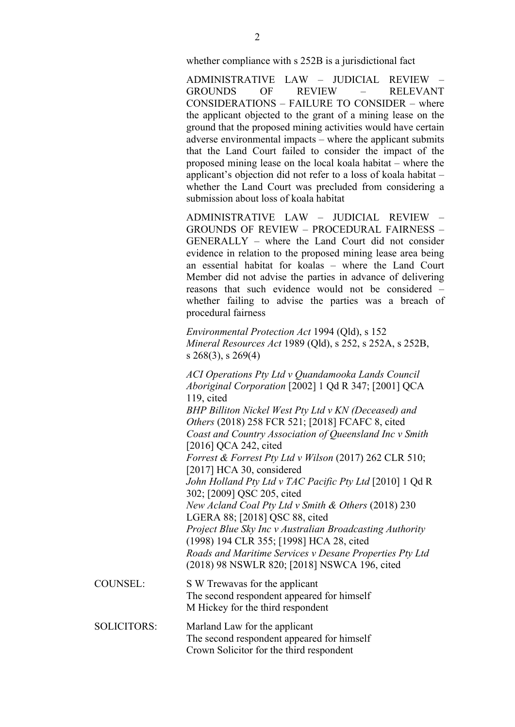whether compliance with s 252B is a jurisdictional fact

ADMINISTRATIVE LAW – JUDICIAL REVIEW – GROUNDS OF REVIEW – RELEVANT CONSIDERATIONS – FAILURE TO CONSIDER – where the applicant objected to the grant of a mining lease on the ground that the proposed mining activities would have certain adverse environmental impacts – where the applicant submits that the Land Court failed to consider the impact of the proposed mining lease on the local koala habitat – where the applicant's objection did not refer to a loss of koala habitat – whether the Land Court was precluded from considering a submission about loss of koala habitat

ADMINISTRATIVE LAW – JUDICIAL REVIEW – GROUNDS OF REVIEW – PROCEDURAL FAIRNESS – GENERALLY – where the Land Court did not consider evidence in relation to the proposed mining lease area being an essential habitat for koalas – where the Land Court Member did not advise the parties in advance of delivering reasons that such evidence would not be considered – whether failing to advise the parties was a breach of procedural fairness

*Environmental Protection Act* 1994 (Qld), s 152 *Mineral Resources Act* 1989 (Qld), s 252, s 252A, s 252B, s 268(3), s 269(4)

*ACI Operations Pty Ltd v Quandamooka Lands Council Aboriginal Corporation* [2002] 1 Qd R 347; [2001] QCA 119, cited *BHP Billiton Nickel West Pty Ltd v KN (Deceased) and Others* (2018) 258 FCR 521; [2018] FCAFC 8, cited *Coast and Country Association of Queensland Inc v Smith*  [2016] QCA 242, cited *Forrest & Forrest Pty Ltd v Wilson* (2017) 262 CLR 510; [2017] HCA 30, considered *John Holland Pty Ltd v TAC Pacific Pty Ltd* [2010] 1 Qd R 302; [2009] QSC 205, cited *New Acland Coal Pty Ltd v Smith & Others* (2018) 230 LGERA 88; [2018] QSC 88, cited *Project Blue Sky Inc v Australian Broadcasting Authority*  (1998) 194 CLR 355; [1998] HCA 28, cited *Roads and Maritime Services v Desane Properties Pty Ltd*  (2018) 98 NSWLR 820; [2018] NSWCA 196, cited

- COUNSEL: S W Trewavas for the applicant The second respondent appeared for himself M Hickey for the third respondent
- SOLICITORS: Marland Law for the applicant The second respondent appeared for himself Crown Solicitor for the third respondent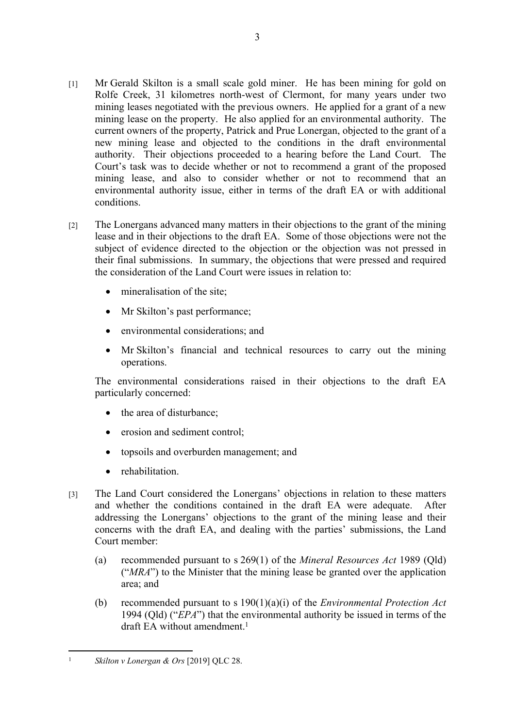- [1] Mr Gerald Skilton is a small scale gold miner. He has been mining for gold on Rolfe Creek, 31 kilometres north-west of Clermont, for many years under two mining leases negotiated with the previous owners. He applied for a grant of a new mining lease on the property. He also applied for an environmental authority. The current owners of the property, Patrick and Prue Lonergan, objected to the grant of a new mining lease and objected to the conditions in the draft environmental authority. Their objections proceeded to a hearing before the Land Court. The Court's task was to decide whether or not to recommend a grant of the proposed mining lease, and also to consider whether or not to recommend that an environmental authority issue, either in terms of the draft EA or with additional conditions.
- [2] The Lonergans advanced many matters in their objections to the grant of the mining lease and in their objections to the draft EA. Some of those objections were not the subject of evidence directed to the objection or the objection was not pressed in their final submissions. In summary, the objections that were pressed and required the consideration of the Land Court were issues in relation to:
	- mineralisation of the site;
	- Mr Skilton's past performance;
	- environmental considerations; and
	- Mr Skilton's financial and technical resources to carry out the mining operations.

The environmental considerations raised in their objections to the draft EA particularly concerned:

- the area of disturbance;
- erosion and sediment control;
- topsoils and overburden management; and
- **•** rehabilitation
- [3] The Land Court considered the Lonergans' objections in relation to these matters and whether the conditions contained in the draft EA were adequate. After addressing the Lonergans' objections to the grant of the mining lease and their concerns with the draft EA, and dealing with the parties' submissions, the Land Court member:
	- (a) recommended pursuant to s 269(1) of the *Mineral Resources Act* 1989 (Qld) ("*MRA*") to the Minister that the mining lease be granted over the application area; and
	- (b) recommended pursuant to s 190(1)(a)(i) of the *Environmental Protection Act* 1994 (Qld) ("*EPA*") that the environmental authority be issued in terms of the draft EA without amendment.<sup>1</sup>

<sup>1</sup> *Skilton v Lonergan & Ors* [2019] QLC 28.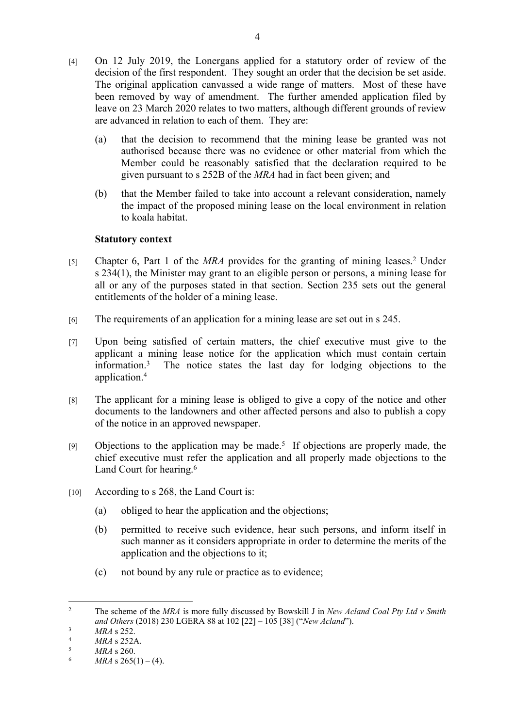- [4] On 12 July 2019, the Lonergans applied for a statutory order of review of the decision of the first respondent. They sought an order that the decision be set aside. The original application canvassed a wide range of matters. Most of these have been removed by way of amendment. The further amended application filed by leave on 23 March 2020 relates to two matters, although different grounds of review are advanced in relation to each of them. They are:
	- (a) that the decision to recommend that the mining lease be granted was not authorised because there was no evidence or other material from which the Member could be reasonably satisfied that the declaration required to be given pursuant to s 252B of the *MRA* had in fact been given; and
	- (b) that the Member failed to take into account a relevant consideration, namely the impact of the proposed mining lease on the local environment in relation to koala habitat.

## **Statutory context**

- [5] Chapter 6, Part 1 of the *MRA* provides for the granting of mining leases.<sup>2</sup> Under s 234(1), the Minister may grant to an eligible person or persons, a mining lease for all or any of the purposes stated in that section. Section 235 sets out the general entitlements of the holder of a mining lease.
- [6] The requirements of an application for a mining lease are set out in s 245.
- [7] Upon being satisfied of certain matters, the chief executive must give to the applicant a mining lease notice for the application which must contain certain information.<sup>3</sup> The notice states the last day for lodging objections to the application.<sup>4</sup>
- [8] The applicant for a mining lease is obliged to give a copy of the notice and other documents to the landowners and other affected persons and also to publish a copy of the notice in an approved newspaper.
- [9] Objections to the application may be made.<sup>5</sup> If objections are properly made, the chief executive must refer the application and all properly made objections to the Land Court for hearing.<sup>6</sup>
- [10] According to s 268, the Land Court is:
	- (a) obliged to hear the application and the objections;
	- (b) permitted to receive such evidence, hear such persons, and inform itself in such manner as it considers appropriate in order to determine the merits of the application and the objections to it;
	- (c) not bound by any rule or practice as to evidence;

 $\overline{2}$  The scheme of the *MRA* is more fully discussed by Bowskill J in *New Acland Coal Pty Ltd v Smith and Others* (2018) 230 LGERA 88 at 102 [22] – 105 [38] ("*New Acland*").

<sup>3</sup> *MRA* s 252.

 $MRA$  s 252A.<br>  $MRA$  s 260

<sup>5</sup> *MRA* s 260.

<sup>6</sup> *MRA* s  $265(1) - (4)$ .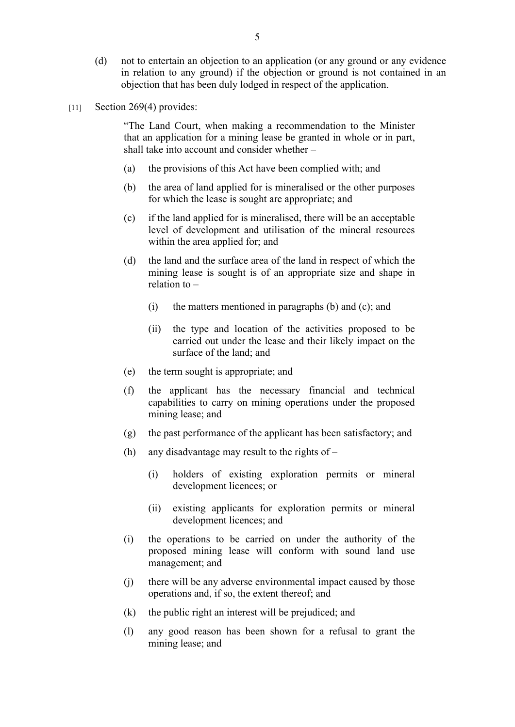- (d) not to entertain an objection to an application (or any ground or any evidence in relation to any ground) if the objection or ground is not contained in an objection that has been duly lodged in respect of the application.
- [11] Section 269(4) provides:

"The Land Court, when making a recommendation to the Minister that an application for a mining lease be granted in whole or in part, shall take into account and consider whether –

- (a) the provisions of this Act have been complied with; and
- (b) the area of land applied for is mineralised or the other purposes for which the lease is sought are appropriate; and
- (c) if the land applied for is mineralised, there will be an acceptable level of development and utilisation of the mineral resources within the area applied for; and
- (d) the land and the surface area of the land in respect of which the mining lease is sought is of an appropriate size and shape in relation to –
	- (i) the matters mentioned in paragraphs (b) and (c); and
	- (ii) the type and location of the activities proposed to be carried out under the lease and their likely impact on the surface of the land; and
- (e) the term sought is appropriate; and
- (f) the applicant has the necessary financial and technical capabilities to carry on mining operations under the proposed mining lease; and
- (g) the past performance of the applicant has been satisfactory; and
- (h) any disadvantage may result to the rights of
	- (i) holders of existing exploration permits or mineral development licences; or
	- (ii) existing applicants for exploration permits or mineral development licences; and
- (i) the operations to be carried on under the authority of the proposed mining lease will conform with sound land use management; and
- (j) there will be any adverse environmental impact caused by those operations and, if so, the extent thereof; and
- (k) the public right an interest will be prejudiced; and
- (l) any good reason has been shown for a refusal to grant the mining lease; and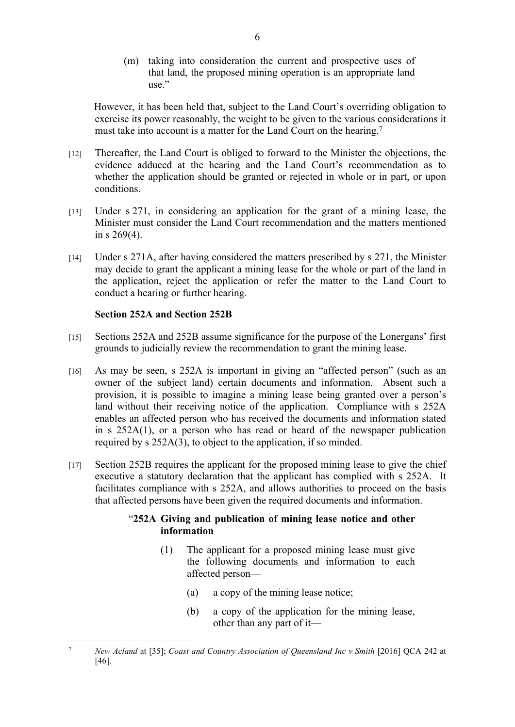(m) taking into consideration the current and prospective uses of that land, the proposed mining operation is an appropriate land  $use$ ."

However, it has been held that, subject to the Land Court's overriding obligation to exercise its power reasonably, the weight to be given to the various considerations it must take into account is a matter for the Land Court on the hearing.<sup>7</sup>

- [12] Thereafter, the Land Court is obliged to forward to the Minister the objections, the evidence adduced at the hearing and the Land Court's recommendation as to whether the application should be granted or rejected in whole or in part, or upon conditions.
- [13] Under s 271, in considering an application for the grant of a mining lease, the Minister must consider the Land Court recommendation and the matters mentioned in s 269(4).
- [14] Under s 271A, after having considered the matters prescribed by s 271, the Minister may decide to grant the applicant a mining lease for the whole or part of the land in the application, reject the application or refer the matter to the Land Court to conduct a hearing or further hearing.

## **Section 252A and Section 252B**

- [15] Sections 252A and 252B assume significance for the purpose of the Lonergans' first grounds to judicially review the recommendation to grant the mining lease.
- [16] As may be seen, s 252A is important in giving an "affected person" (such as an owner of the subject land) certain documents and information. Absent such a provision, it is possible to imagine a mining lease being granted over a person's land without their receiving notice of the application. Compliance with s 252A enables an affected person who has received the documents and information stated in s 252A(1), or a person who has read or heard of the newspaper publication required by s 252A(3), to object to the application, if so minded.
- [17] Section 252B requires the applicant for the proposed mining lease to give the chief executive a statutory declaration that the applicant has complied with s 252A. It facilitates compliance with s 252A, and allows authorities to proceed on the basis that affected persons have been given the required documents and information.

## "**252A Giving and publication of mining lease notice and other information**

- (1) The applicant for a proposed mining lease must give the following documents and information to each affected person—
	- (a) a copy of the mining lease notice;
	- (b) a copy of the application for the mining lease, other than any part of it—

<sup>7</sup> *New Acland* at [35]; *Coast and Country Association of Queensland Inc v Smith* [2016] QCA 242 at [46].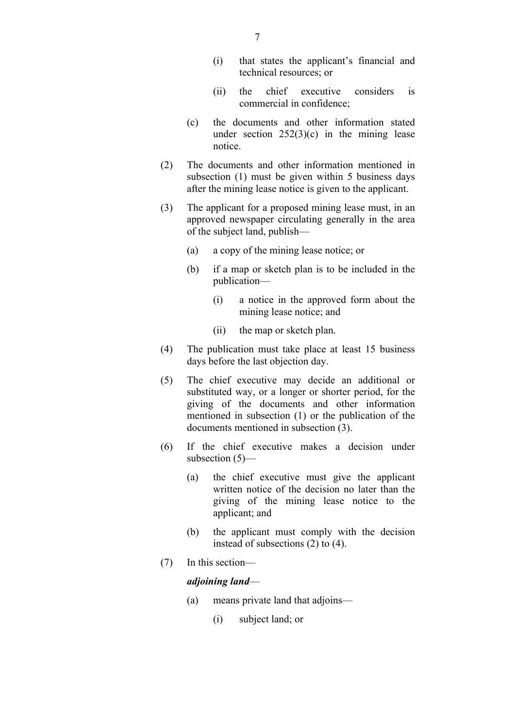- (i) that states the applicant's financial and technical resources; or
- (ii) the chief executive considers is commercial in confidence;
- (c) the documents and other information stated under section  $252(3)(c)$  in the mining lease notice.
- (2) The documents and other information mentioned in subsection (1) must be given within 5 business days after the mining lease notice is given to the applicant.
- (3) The applicant for a proposed mining lease must, in an approved newspaper circulating generally in the area of the subject land, publish—
	- (a) a copy of the mining lease notice; or
	- (b) if a map or sketch plan is to be included in the publication—
		- (i) a notice in the approved form about the mining lease notice; and
		- (ii) the map or sketch plan.
- (4) The publication must take place at least 15 business days before the last objection day.
- (5) The chief executive may decide an additional or substituted way, or a longer or shorter period, for the giving of the documents and other information mentioned in subsection (1) or the publication of the documents mentioned in subsection (3).
- (6) If the chief executive makes a decision under subsection (5)—
	- (a) the chief executive must give the applicant written notice of the decision no later than the giving of the mining lease notice to the applicant; and
	- (b) the applicant must comply with the decision instead of subsections (2) to (4).
- (7) In this section—

#### *adjoining land*—

- (a) means private land that adjoins—
	- (i) subject land; or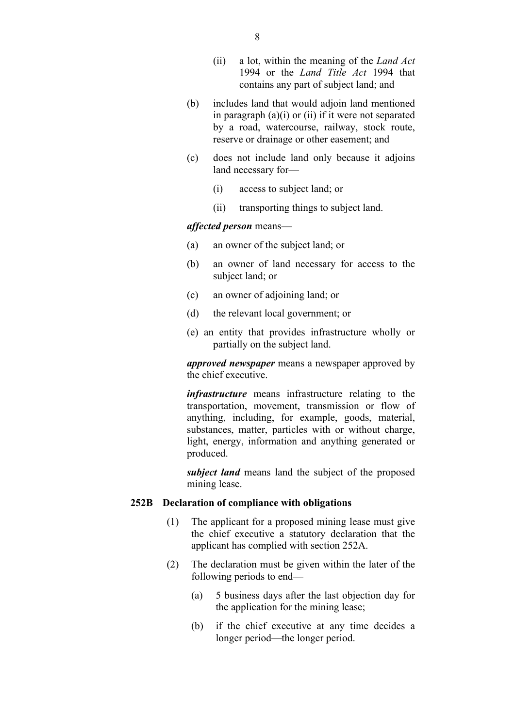- (ii) a lot, within the meaning of the *Land Act* 1994 or the *Land Title Act* 1994 that contains any part of subject land; and
- (b) includes land that would adjoin land mentioned in paragraph  $(a)(i)$  or  $(ii)$  if it were not separated by a road, watercourse, railway, stock route, reserve or drainage or other easement; and
- (c) does not include land only because it adjoins land necessary for—
	- (i) access to subject land; or
	- (ii) transporting things to subject land.

#### *affected person* means—

- (a) an owner of the subject land; or
- (b) an owner of land necessary for access to the subject land; or
- (c) an owner of adjoining land; or
- (d) the relevant local government; or
- (e) an entity that provides infrastructure wholly or partially on the subject land.

*approved newspaper* means a newspaper approved by the chief executive.

*infrastructure* means infrastructure relating to the transportation, movement, transmission or flow of anything, including, for example, goods, material, substances, matter, particles with or without charge, light, energy, information and anything generated or produced.

*subject land* means land the subject of the proposed mining lease.

#### **252B Declaration of compliance with obligations**

- (1) The applicant for a proposed mining lease must give the chief executive a statutory declaration that the applicant has complied with section 252A.
- (2) The declaration must be given within the later of the following periods to end—
	- (a) 5 business days after the last objection day for the application for the mining lease;
	- (b) if the chief executive at any time decides a longer period—the longer period.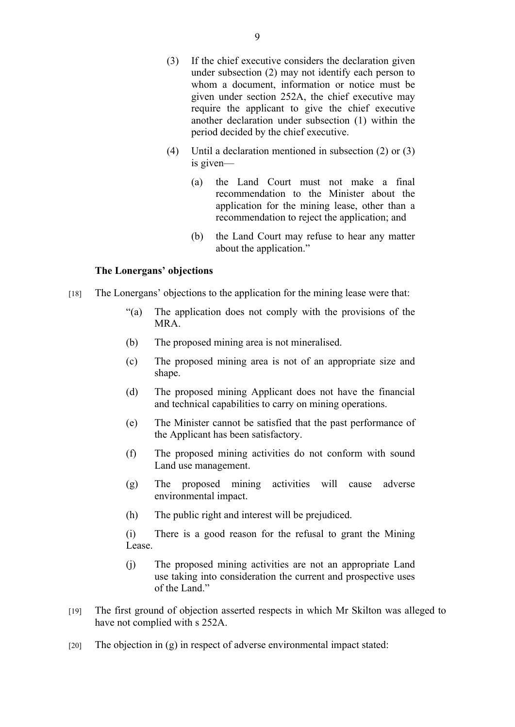- (3) If the chief executive considers the declaration given under subsection (2) may not identify each person to whom a document, information or notice must be given under section 252A, the chief executive may require the applicant to give the chief executive another declaration under subsection (1) within the period decided by the chief executive.
- (4) Until a declaration mentioned in subsection (2) or (3) is given—
	- (a) the Land Court must not make a final recommendation to the Minister about the application for the mining lease, other than a recommendation to reject the application; and
	- (b) the Land Court may refuse to hear any matter about the application."

#### **The Lonergans' objections**

- [18] The Lonergans' objections to the application for the mining lease were that:
	- "(a) The application does not comply with the provisions of the MRA.
	- (b) The proposed mining area is not mineralised.
	- (c) The proposed mining area is not of an appropriate size and shape.
	- (d) The proposed mining Applicant does not have the financial and technical capabilities to carry on mining operations.
	- (e) The Minister cannot be satisfied that the past performance of the Applicant has been satisfactory.
	- (f) The proposed mining activities do not conform with sound Land use management.
	- (g) The proposed mining activities will cause adverse environmental impact.
	- (h) The public right and interest will be prejudiced.
	- (i) There is a good reason for the refusal to grant the Mining Lease.
	- (j) The proposed mining activities are not an appropriate Land use taking into consideration the current and prospective uses of the Land."
- [19] The first ground of objection asserted respects in which Mr Skilton was alleged to have not complied with s 252A.
- $[20]$  The objection in  $(g)$  in respect of adverse environmental impact stated: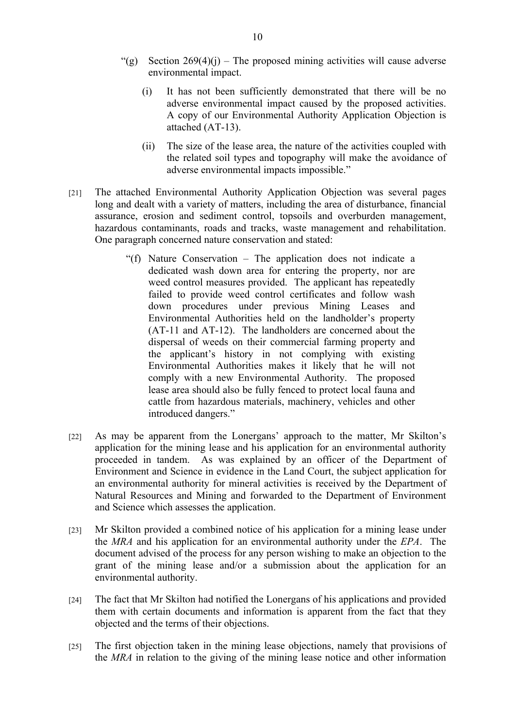- "(g) Section  $269(4)(i)$  The proposed mining activities will cause adverse environmental impact.
	- (i) It has not been sufficiently demonstrated that there will be no adverse environmental impact caused by the proposed activities. A copy of our Environmental Authority Application Objection is attached (AT-13).
	- (ii) The size of the lease area, the nature of the activities coupled with the related soil types and topography will make the avoidance of adverse environmental impacts impossible."
- [21] The attached Environmental Authority Application Objection was several pages long and dealt with a variety of matters, including the area of disturbance, financial assurance, erosion and sediment control, topsoils and overburden management, hazardous contaminants, roads and tracks, waste management and rehabilitation. One paragraph concerned nature conservation and stated:
	- "(f) Nature Conservation The application does not indicate a dedicated wash down area for entering the property, nor are weed control measures provided. The applicant has repeatedly failed to provide weed control certificates and follow wash down procedures under previous Mining Leases and Environmental Authorities held on the landholder's property (AT-11 and AT-12). The landholders are concerned about the dispersal of weeds on their commercial farming property and the applicant's history in not complying with existing Environmental Authorities makes it likely that he will not comply with a new Environmental Authority. The proposed lease area should also be fully fenced to protect local fauna and cattle from hazardous materials, machinery, vehicles and other introduced dangers."
- [22] As may be apparent from the Lonergans' approach to the matter, Mr Skilton's application for the mining lease and his application for an environmental authority proceeded in tandem. As was explained by an officer of the Department of Environment and Science in evidence in the Land Court, the subject application for an environmental authority for mineral activities is received by the Department of Natural Resources and Mining and forwarded to the Department of Environment and Science which assesses the application.
- [23] Mr Skilton provided a combined notice of his application for a mining lease under the *MRA* and his application for an environmental authority under the *EPA*. The document advised of the process for any person wishing to make an objection to the grant of the mining lease and/or a submission about the application for an environmental authority.
- [24] The fact that Mr Skilton had notified the Lonergans of his applications and provided them with certain documents and information is apparent from the fact that they objected and the terms of their objections.
- [25] The first objection taken in the mining lease objections, namely that provisions of the *MRA* in relation to the giving of the mining lease notice and other information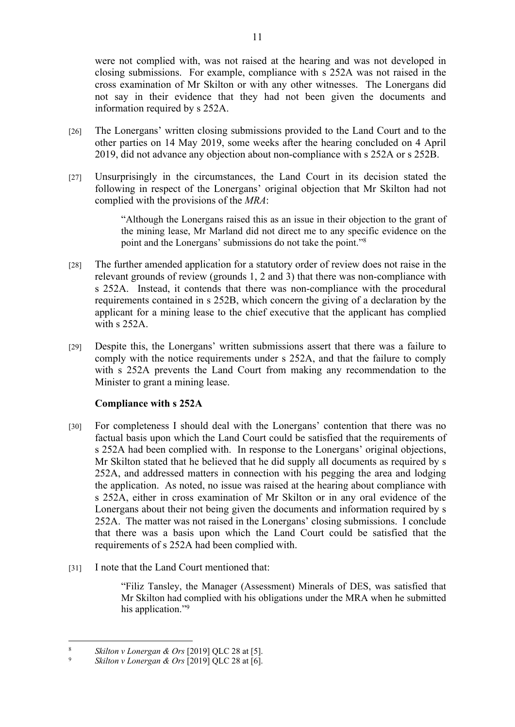were not complied with, was not raised at the hearing and was not developed in closing submissions. For example, compliance with s 252A was not raised in the cross examination of Mr Skilton or with any other witnesses. The Lonergans did not say in their evidence that they had not been given the documents and information required by s 252A.

- [26] The Lonergans' written closing submissions provided to the Land Court and to the other parties on 14 May 2019, some weeks after the hearing concluded on 4 April 2019, did not advance any objection about non-compliance with s 252A or s 252B.
- [27] Unsurprisingly in the circumstances, the Land Court in its decision stated the following in respect of the Lonergans' original objection that Mr Skilton had not complied with the provisions of the *MRA*:

"Although the Lonergans raised this as an issue in their objection to the grant of the mining lease, Mr Marland did not direct me to any specific evidence on the point and the Lonergans' submissions do not take the point."<sup>8</sup>

- [28] The further amended application for a statutory order of review does not raise in the relevant grounds of review (grounds 1, 2 and 3) that there was non-compliance with s 252A. Instead, it contends that there was non-compliance with the procedural requirements contained in s 252B, which concern the giving of a declaration by the applicant for a mining lease to the chief executive that the applicant has complied with s 252A.
- [29] Despite this, the Lonergans' written submissions assert that there was a failure to comply with the notice requirements under s 252A, and that the failure to comply with s 252A prevents the Land Court from making any recommendation to the Minister to grant a mining lease.

## **Compliance with s 252A**

- [30] For completeness I should deal with the Lonergans' contention that there was no factual basis upon which the Land Court could be satisfied that the requirements of s 252A had been complied with. In response to the Lonergans' original objections, Mr Skilton stated that he believed that he did supply all documents as required by s 252A, and addressed matters in connection with his pegging the area and lodging the application. As noted, no issue was raised at the hearing about compliance with s 252A, either in cross examination of Mr Skilton or in any oral evidence of the Lonergans about their not being given the documents and information required by s 252A. The matter was not raised in the Lonergans' closing submissions. I conclude that there was a basis upon which the Land Court could be satisfied that the requirements of s 252A had been complied with.
- [31] I note that the Land Court mentioned that:

"Filiz Tansley, the Manager (Assessment) Minerals of DES, was satisfied that Mr Skilton had complied with his obligations under the MRA when he submitted his application."<sup>9</sup>

<sup>8</sup> *Skilton v Lonergan & Ors* [2019] QLC 28 at [5].

<sup>9</sup> *Skilton v Lonergan & Ors* [2019] QLC 28 at [6].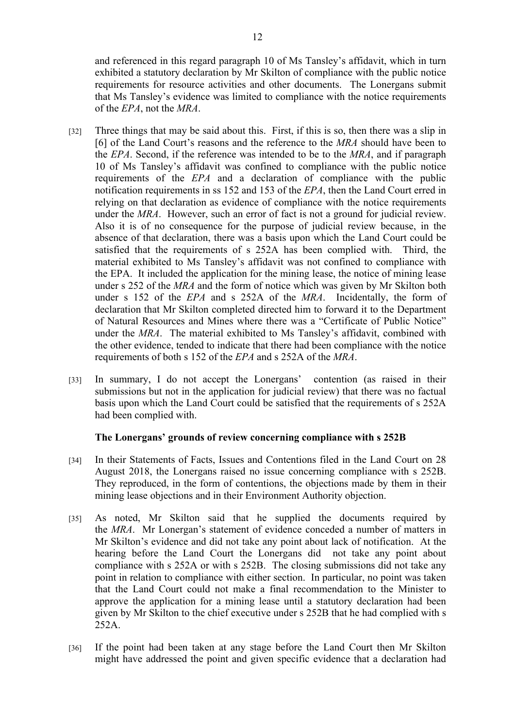and referenced in this regard paragraph 10 of Ms Tansley's affidavit, which in turn exhibited a statutory declaration by Mr Skilton of compliance with the public notice requirements for resource activities and other documents. The Lonergans submit that Ms Tansley's evidence was limited to compliance with the notice requirements of the *EPA*, not the *MRA*.

- [32] Three things that may be said about this. First, if this is so, then there was a slip in [6] of the Land Court's reasons and the reference to the *MRA* should have been to the *EPA*. Second, if the reference was intended to be to the *MRA*, and if paragraph 10 of Ms Tansley's affidavit was confined to compliance with the public notice requirements of the *EPA* and a declaration of compliance with the public notification requirements in ss 152 and 153 of the *EPA*, then the Land Court erred in relying on that declaration as evidence of compliance with the notice requirements under the *MRA*. However, such an error of fact is not a ground for judicial review. Also it is of no consequence for the purpose of judicial review because, in the absence of that declaration, there was a basis upon which the Land Court could be satisfied that the requirements of s 252A has been complied with. Third, the material exhibited to Ms Tansley's affidavit was not confined to compliance with the EPA. It included the application for the mining lease, the notice of mining lease under s 252 of the *MRA* and the form of notice which was given by Mr Skilton both under s 152 of the *EPA* and s 252A of the *MRA*. Incidentally, the form of declaration that Mr Skilton completed directed him to forward it to the Department of Natural Resources and Mines where there was a "Certificate of Public Notice" under the *MRA*. The material exhibited to Ms Tansley's affidavit, combined with the other evidence, tended to indicate that there had been compliance with the notice requirements of both s 152 of the *EPA* and s 252A of the *MRA*.
- [33] In summary, I do not accept the Lonergans' contention (as raised in their submissions but not in the application for judicial review) that there was no factual basis upon which the Land Court could be satisfied that the requirements of s 252A had been complied with.

## **The Lonergans' grounds of review concerning compliance with s 252B**

- [34] In their Statements of Facts, Issues and Contentions filed in the Land Court on 28 August 2018, the Lonergans raised no issue concerning compliance with s 252B. They reproduced, in the form of contentions, the objections made by them in their mining lease objections and in their Environment Authority objection.
- [35] As noted, Mr Skilton said that he supplied the documents required by the *MRA*. Mr Lonergan's statement of evidence conceded a number of matters in Mr Skilton's evidence and did not take any point about lack of notification. At the hearing before the Land Court the Lonergans did not take any point about compliance with s 252A or with s 252B. The closing submissions did not take any point in relation to compliance with either section. In particular, no point was taken that the Land Court could not make a final recommendation to the Minister to approve the application for a mining lease until a statutory declaration had been given by Mr Skilton to the chief executive under s 252B that he had complied with s 252A.
- [36] If the point had been taken at any stage before the Land Court then Mr Skilton might have addressed the point and given specific evidence that a declaration had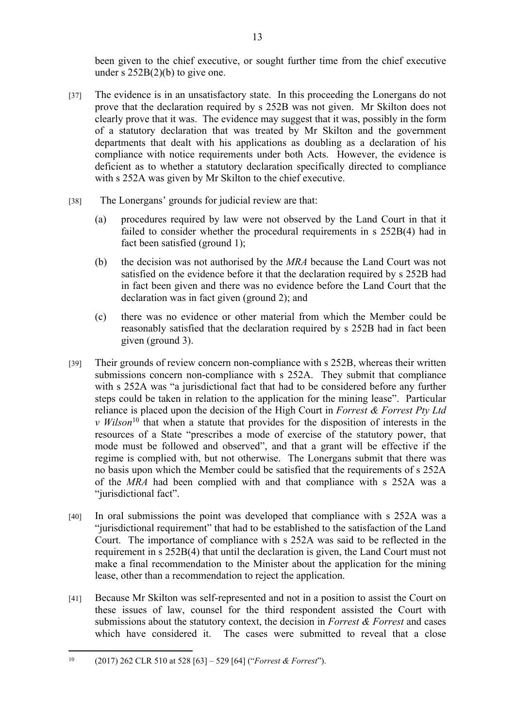been given to the chief executive, or sought further time from the chief executive under s 252B(2)(b) to give one.

- [37] The evidence is in an unsatisfactory state. In this proceeding the Lonergans do not prove that the declaration required by s 252B was not given. Mr Skilton does not clearly prove that it was. The evidence may suggest that it was, possibly in the form of a statutory declaration that was treated by Mr Skilton and the government departments that dealt with his applications as doubling as a declaration of his compliance with notice requirements under both Acts. However, the evidence is deficient as to whether a statutory declaration specifically directed to compliance with s 252A was given by Mr Skilton to the chief executive.
- [38] The Lonergans' grounds for judicial review are that:
	- (a) procedures required by law were not observed by the Land Court in that it failed to consider whether the procedural requirements in s 252B(4) had in fact been satisfied (ground 1);
	- (b) the decision was not authorised by the *MRA* because the Land Court was not satisfied on the evidence before it that the declaration required by s 252B had in fact been given and there was no evidence before the Land Court that the declaration was in fact given (ground 2); and
	- (c) there was no evidence or other material from which the Member could be reasonably satisfied that the declaration required by s 252B had in fact been given (ground 3).
- [39] Their grounds of review concern non-compliance with s 252B, whereas their written submissions concern non-compliance with s 252A. They submit that compliance with s 252A was "a jurisdictional fact that had to be considered before any further steps could be taken in relation to the application for the mining lease". Particular reliance is placed upon the decision of the High Court in *Forrest & Forrest Pty Ltd v Wilson*<sup>10</sup> that when a statute that provides for the disposition of interests in the resources of a State "prescribes a mode of exercise of the statutory power, that mode must be followed and observed", and that a grant will be effective if the regime is complied with, but not otherwise. The Lonergans submit that there was no basis upon which the Member could be satisfied that the requirements of s 252A of the *MRA* had been complied with and that compliance with s 252A was a "jurisdictional fact".
- [40] In oral submissions the point was developed that compliance with s 252A was a "jurisdictional requirement" that had to be established to the satisfaction of the Land Court. The importance of compliance with s 252A was said to be reflected in the requirement in s 252B(4) that until the declaration is given, the Land Court must not make a final recommendation to the Minister about the application for the mining lease, other than a recommendation to reject the application.
- [41] Because Mr Skilton was self-represented and not in a position to assist the Court on these issues of law, counsel for the third respondent assisted the Court with submissions about the statutory context, the decision in *Forrest & Forrest* and cases which have considered it. The cases were submitted to reveal that a close

<sup>10</sup> (2017) 262 CLR 510 at 528 [63] – 529 [64] ("*Forrest & Forrest*").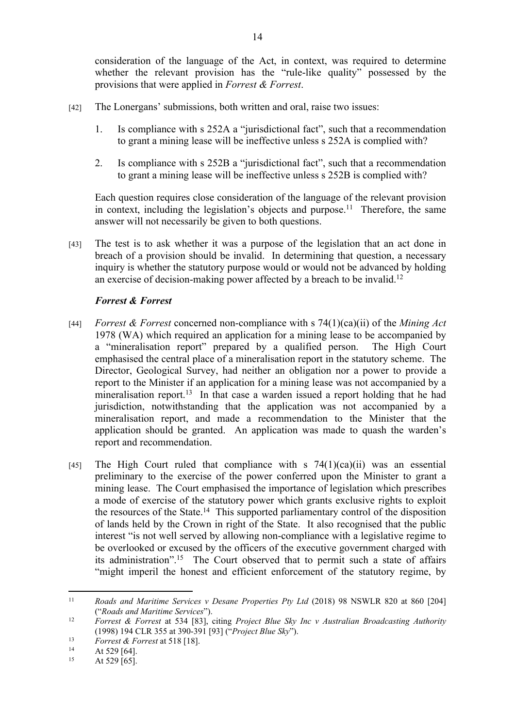consideration of the language of the Act, in context, was required to determine whether the relevant provision has the "rule-like quality" possessed by the provisions that were applied in *Forrest & Forrest*.

- [42] The Lonergans' submissions, both written and oral, raise two issues:
	- 1. Is compliance with s 252A a "jurisdictional fact", such that a recommendation to grant a mining lease will be ineffective unless s 252A is complied with?
	- 2. Is compliance with s 252B a "jurisdictional fact", such that a recommendation to grant a mining lease will be ineffective unless s 252B is complied with?

Each question requires close consideration of the language of the relevant provision in context, including the legislation's objects and purpose.<sup>11</sup> Therefore, the same answer will not necessarily be given to both questions.

[43] The test is to ask whether it was a purpose of the legislation that an act done in breach of a provision should be invalid. In determining that question, a necessary inquiry is whether the statutory purpose would or would not be advanced by holding an exercise of decision-making power affected by a breach to be invalid.<sup>12</sup>

# *Forrest & Forrest*

- [44] *Forrest & Forrest* concerned non-compliance with s 74(1)(ca)(ii) of the *Mining Act*  1978 (WA) which required an application for a mining lease to be accompanied by a "mineralisation report" prepared by a qualified person. The High Court emphasised the central place of a mineralisation report in the statutory scheme. The Director, Geological Survey, had neither an obligation nor a power to provide a report to the Minister if an application for a mining lease was not accompanied by a mineralisation report.<sup>13</sup> In that case a warden issued a report holding that he had jurisdiction, notwithstanding that the application was not accompanied by a mineralisation report, and made a recommendation to the Minister that the application should be granted. An application was made to quash the warden's report and recommendation.
- [45] The High Court ruled that compliance with s  $74(1)(ca)(ii)$  was an essential preliminary to the exercise of the power conferred upon the Minister to grant a mining lease. The Court emphasised the importance of legislation which prescribes a mode of exercise of the statutory power which grants exclusive rights to exploit the resources of the State.<sup>14</sup> This supported parliamentary control of the disposition of lands held by the Crown in right of the State. It also recognised that the public interest "is not well served by allowing non-compliance with a legislative regime to be overlooked or excused by the officers of the executive government charged with its administration".<sup>15</sup> The Court observed that to permit such a state of affairs "might imperil the honest and efficient enforcement of the statutory regime, by

<sup>11</sup> *Roads and Maritime Services v Desane Properties Pty Ltd* (2018) 98 NSWLR 820 at 860 [204] ("*Roads and Maritime Services*").

<sup>12</sup> *Forrest & Forrest* at 534 [83], citing *Project Blue Sky Inc v Australian Broadcasting Authority* (1998) 194 CLR 355 at 390-391 [93] ("*Project Blue Sky*").

<sup>13</sup> *Forrest & Forrest* at 518 [18].

<sup>&</sup>lt;sup>14</sup> At 529 [64].<br><sup>15</sup> At 529 [65]

At 529 [65].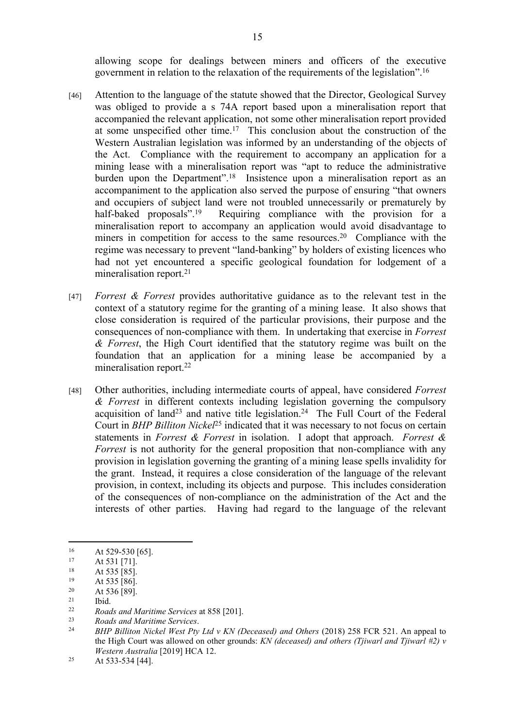allowing scope for dealings between miners and officers of the executive government in relation to the relaxation of the requirements of the legislation".<sup>16</sup>

- [46] Attention to the language of the statute showed that the Director, Geological Survey was obliged to provide a s 74A report based upon a mineralisation report that accompanied the relevant application, not some other mineralisation report provided at some unspecified other time.<sup>17</sup> This conclusion about the construction of the Western Australian legislation was informed by an understanding of the objects of the Act. Compliance with the requirement to accompany an application for a mining lease with a mineralisation report was "apt to reduce the administrative burden upon the Department".<sup>18</sup> Insistence upon a mineralisation report as an accompaniment to the application also served the purpose of ensuring "that owners and occupiers of subject land were not troubled unnecessarily or prematurely by half-baked proposals".<sup>19</sup> Requiring compliance with the provision for a mineralisation report to accompany an application would avoid disadvantage to miners in competition for access to the same resources.<sup>20</sup> Compliance with the regime was necessary to prevent "land-banking" by holders of existing licences who had not yet encountered a specific geological foundation for lodgement of a mineralisation report.<sup>21</sup>
- [47] *Forrest & Forrest* provides authoritative guidance as to the relevant test in the context of a statutory regime for the granting of a mining lease. It also shows that close consideration is required of the particular provisions, their purpose and the consequences of non-compliance with them. In undertaking that exercise in *Forrest & Forrest*, the High Court identified that the statutory regime was built on the foundation that an application for a mining lease be accompanied by a mineralisation report.<sup>22</sup>
- [48] Other authorities, including intermediate courts of appeal, have considered *Forrest & Forrest* in different contexts including legislation governing the compulsory acquisition of land<sup>23</sup> and native title legislation.<sup>24</sup> The Full Court of the Federal Court in *BHP Billiton Nickel*<sup>25</sup> indicated that it was necessary to not focus on certain statements in *Forrest & Forrest* in isolation. I adopt that approach. *Forrest & Forrest* is not authority for the general proposition that non-compliance with any provision in legislation governing the granting of a mining lease spells invalidity for the grant. Instead, it requires a close consideration of the language of the relevant provision, in context, including its objects and purpose. This includes consideration of the consequences of non-compliance on the administration of the Act and the interests of other parties. Having had regard to the language of the relevant

 $\frac{21}{22}$  Ibid.

 $16$  At 529-530 [65].

 $17$  At 531 [71].

 $18$  At 535 [85].

 $19$  At 535 [86].

 $20$  At 536 [89].

<sup>22</sup> *Roads and Maritime Services* at 858 [201].

<sup>23</sup> *Roads and Maritime Services*.

<sup>24</sup> *BHP Billiton Nickel West Pty Ltd v KN (Deceased) and Others* (2018) 258 FCR 521. An appeal to the High Court was allowed on other grounds: *KN (deceased) and others (Tjiwarl and Tjiwarl #2) v Western Australia* [2019] HCA 12.

<sup>&</sup>lt;sup>25</sup> At 533-534 [44].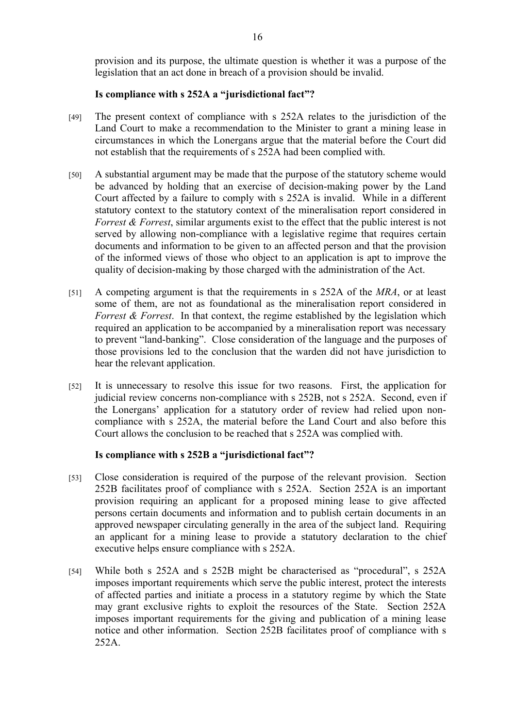provision and its purpose, the ultimate question is whether it was a purpose of the legislation that an act done in breach of a provision should be invalid.

#### **Is compliance with s 252A a "jurisdictional fact"?**

- [49] The present context of compliance with s 252A relates to the jurisdiction of the Land Court to make a recommendation to the Minister to grant a mining lease in circumstances in which the Lonergans argue that the material before the Court did not establish that the requirements of s 252A had been complied with.
- [50] A substantial argument may be made that the purpose of the statutory scheme would be advanced by holding that an exercise of decision-making power by the Land Court affected by a failure to comply with s 252A is invalid. While in a different statutory context to the statutory context of the mineralisation report considered in *Forrest & Forrest*, similar arguments exist to the effect that the public interest is not served by allowing non-compliance with a legislative regime that requires certain documents and information to be given to an affected person and that the provision of the informed views of those who object to an application is apt to improve the quality of decision-making by those charged with the administration of the Act.
- [51] A competing argument is that the requirements in s 252A of the *MRA*, or at least some of them, are not as foundational as the mineralisation report considered in *Forrest & Forrest.* In that context, the regime established by the legislation which required an application to be accompanied by a mineralisation report was necessary to prevent "land-banking". Close consideration of the language and the purposes of those provisions led to the conclusion that the warden did not have jurisdiction to hear the relevant application.
- [52] It is unnecessary to resolve this issue for two reasons. First, the application for judicial review concerns non-compliance with s 252B, not s 252A. Second, even if the Lonergans' application for a statutory order of review had relied upon noncompliance with s 252A, the material before the Land Court and also before this Court allows the conclusion to be reached that s 252A was complied with.

## **Is compliance with s 252B a "jurisdictional fact"?**

- [53] Close consideration is required of the purpose of the relevant provision. Section 252B facilitates proof of compliance with s 252A. Section 252A is an important provision requiring an applicant for a proposed mining lease to give affected persons certain documents and information and to publish certain documents in an approved newspaper circulating generally in the area of the subject land. Requiring an applicant for a mining lease to provide a statutory declaration to the chief executive helps ensure compliance with s 252A.
- [54] While both s 252A and s 252B might be characterised as "procedural", s 252A imposes important requirements which serve the public interest, protect the interests of affected parties and initiate a process in a statutory regime by which the State may grant exclusive rights to exploit the resources of the State. Section 252A imposes important requirements for the giving and publication of a mining lease notice and other information. Section 252B facilitates proof of compliance with s 252A.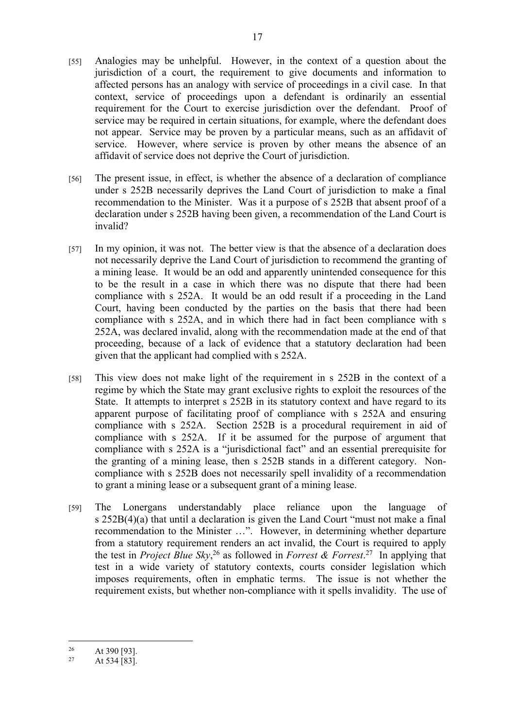- [55] Analogies may be unhelpful. However, in the context of a question about the jurisdiction of a court, the requirement to give documents and information to affected persons has an analogy with service of proceedings in a civil case. In that context, service of proceedings upon a defendant is ordinarily an essential requirement for the Court to exercise jurisdiction over the defendant. Proof of service may be required in certain situations, for example, where the defendant does not appear. Service may be proven by a particular means, such as an affidavit of service. However, where service is proven by other means the absence of an affidavit of service does not deprive the Court of jurisdiction.
- [56] The present issue, in effect, is whether the absence of a declaration of compliance under s 252B necessarily deprives the Land Court of jurisdiction to make a final recommendation to the Minister. Was it a purpose of s 252B that absent proof of a declaration under s 252B having been given, a recommendation of the Land Court is invalid?
- [57] In my opinion, it was not. The better view is that the absence of a declaration does not necessarily deprive the Land Court of jurisdiction to recommend the granting of a mining lease. It would be an odd and apparently unintended consequence for this to be the result in a case in which there was no dispute that there had been compliance with s 252A. It would be an odd result if a proceeding in the Land Court, having been conducted by the parties on the basis that there had been compliance with s 252A, and in which there had in fact been compliance with s 252A, was declared invalid, along with the recommendation made at the end of that proceeding, because of a lack of evidence that a statutory declaration had been given that the applicant had complied with s 252A.
- [58] This view does not make light of the requirement in s 252B in the context of a regime by which the State may grant exclusive rights to exploit the resources of the State. It attempts to interpret s 252B in its statutory context and have regard to its apparent purpose of facilitating proof of compliance with s 252A and ensuring compliance with s 252A. Section 252B is a procedural requirement in aid of compliance with s 252A. If it be assumed for the purpose of argument that compliance with s 252A is a "jurisdictional fact" and an essential prerequisite for the granting of a mining lease, then s 252B stands in a different category. Noncompliance with s 252B does not necessarily spell invalidity of a recommendation to grant a mining lease or a subsequent grant of a mining lease.
- [59] The Lonergans understandably place reliance upon the language of s 252B(4)(a) that until a declaration is given the Land Court "must not make a final recommendation to the Minister …". However, in determining whether departure from a statutory requirement renders an act invalid, the Court is required to apply the test in *Project Blue Sky*, <sup>26</sup> as followed in *Forrest & Forrest*. <sup>27</sup> In applying that test in a wide variety of statutory contexts, courts consider legislation which imposes requirements, often in emphatic terms. The issue is not whether the requirement exists, but whether non-compliance with it spells invalidity. The use of

 $26$  At 390 [93].<br>27 At 534 [83]

At 534 [83].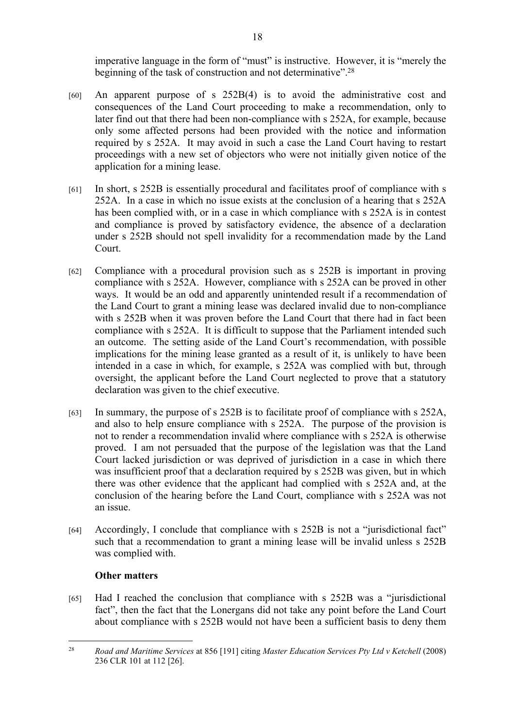imperative language in the form of "must" is instructive. However, it is "merely the beginning of the task of construction and not determinative".<sup>28</sup>

- [60] An apparent purpose of s 252B(4) is to avoid the administrative cost and consequences of the Land Court proceeding to make a recommendation, only to later find out that there had been non-compliance with s 252A, for example, because only some affected persons had been provided with the notice and information required by s 252A. It may avoid in such a case the Land Court having to restart proceedings with a new set of objectors who were not initially given notice of the application for a mining lease.
- [61] In short, s 252B is essentially procedural and facilitates proof of compliance with s 252A. In a case in which no issue exists at the conclusion of a hearing that s 252A has been complied with, or in a case in which compliance with s 252A is in contest and compliance is proved by satisfactory evidence, the absence of a declaration under s 252B should not spell invalidity for a recommendation made by the Land Court.
- [62] Compliance with a procedural provision such as s 252B is important in proving compliance with s 252A. However, compliance with s 252A can be proved in other ways. It would be an odd and apparently unintended result if a recommendation of the Land Court to grant a mining lease was declared invalid due to non-compliance with s 252B when it was proven before the Land Court that there had in fact been compliance with s 252A. It is difficult to suppose that the Parliament intended such an outcome. The setting aside of the Land Court's recommendation, with possible implications for the mining lease granted as a result of it, is unlikely to have been intended in a case in which, for example, s 252A was complied with but, through oversight, the applicant before the Land Court neglected to prove that a statutory declaration was given to the chief executive.
- [63] In summary, the purpose of s 252B is to facilitate proof of compliance with s 252A, and also to help ensure compliance with s 252A. The purpose of the provision is not to render a recommendation invalid where compliance with s 252A is otherwise proved. I am not persuaded that the purpose of the legislation was that the Land Court lacked jurisdiction or was deprived of jurisdiction in a case in which there was insufficient proof that a declaration required by s 252B was given, but in which there was other evidence that the applicant had complied with s 252A and, at the conclusion of the hearing before the Land Court, compliance with s 252A was not an issue.
- [64] Accordingly, I conclude that compliance with s 252B is not a "jurisdictional fact" such that a recommendation to grant a mining lease will be invalid unless s 252B was complied with.

# **Other matters**

[65] Had I reached the conclusion that compliance with s 252B was a "jurisdictional fact", then the fact that the Lonergans did not take any point before the Land Court about compliance with s 252B would not have been a sufficient basis to deny them

<sup>28</sup> *Road and Maritime Services* at 856 [191] citing *Master Education Services Pty Ltd v Ketchell* (2008) 236 CLR 101 at 112 [26].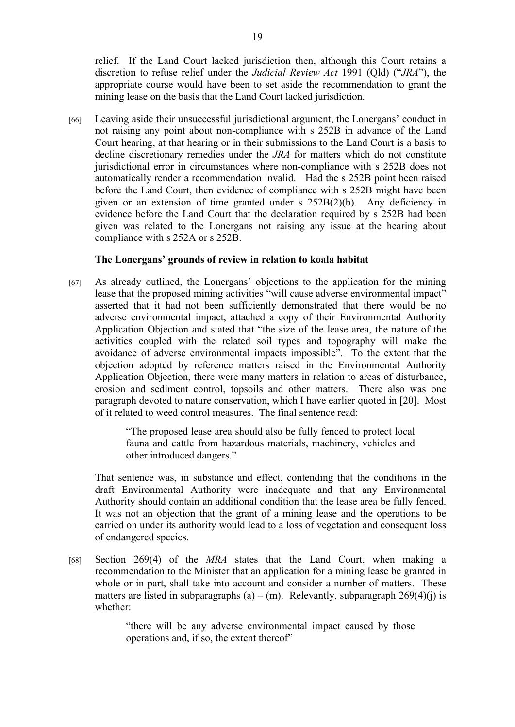relief. If the Land Court lacked jurisdiction then, although this Court retains a discretion to refuse relief under the *Judicial Review Act* 1991 (Qld) ("*JRA*"), the appropriate course would have been to set aside the recommendation to grant the mining lease on the basis that the Land Court lacked jurisdiction.

[66] Leaving aside their unsuccessful jurisdictional argument, the Lonergans' conduct in not raising any point about non-compliance with s 252B in advance of the Land Court hearing, at that hearing or in their submissions to the Land Court is a basis to decline discretionary remedies under the *JRA* for matters which do not constitute jurisdictional error in circumstances where non-compliance with s 252B does not automatically render a recommendation invalid. Had the s 252B point been raised before the Land Court, then evidence of compliance with s 252B might have been given or an extension of time granted under s 252B(2)(b). Any deficiency in evidence before the Land Court that the declaration required by s 252B had been given was related to the Lonergans not raising any issue at the hearing about compliance with s 252A or s 252B.

## **The Lonergans' grounds of review in relation to koala habitat**

[67] As already outlined, the Lonergans' objections to the application for the mining lease that the proposed mining activities "will cause adverse environmental impact" asserted that it had not been sufficiently demonstrated that there would be no adverse environmental impact, attached a copy of their Environmental Authority Application Objection and stated that "the size of the lease area, the nature of the activities coupled with the related soil types and topography will make the avoidance of adverse environmental impacts impossible". To the extent that the objection adopted by reference matters raised in the Environmental Authority Application Objection, there were many matters in relation to areas of disturbance, erosion and sediment control, topsoils and other matters. There also was one paragraph devoted to nature conservation, which I have earlier quoted in [20]. Most of it related to weed control measures. The final sentence read:

> "The proposed lease area should also be fully fenced to protect local fauna and cattle from hazardous materials, machinery, vehicles and other introduced dangers."

That sentence was, in substance and effect, contending that the conditions in the draft Environmental Authority were inadequate and that any Environmental Authority should contain an additional condition that the lease area be fully fenced. It was not an objection that the grant of a mining lease and the operations to be carried on under its authority would lead to a loss of vegetation and consequent loss of endangered species.

[68] Section 269(4) of the *MRA* states that the Land Court, when making a recommendation to the Minister that an application for a mining lease be granted in whole or in part, shall take into account and consider a number of matters. These matters are listed in subparagraphs (a) – (m). Relevantly, subparagraph  $269(4)(i)$  is whether:

> "there will be any adverse environmental impact caused by those operations and, if so, the extent thereof"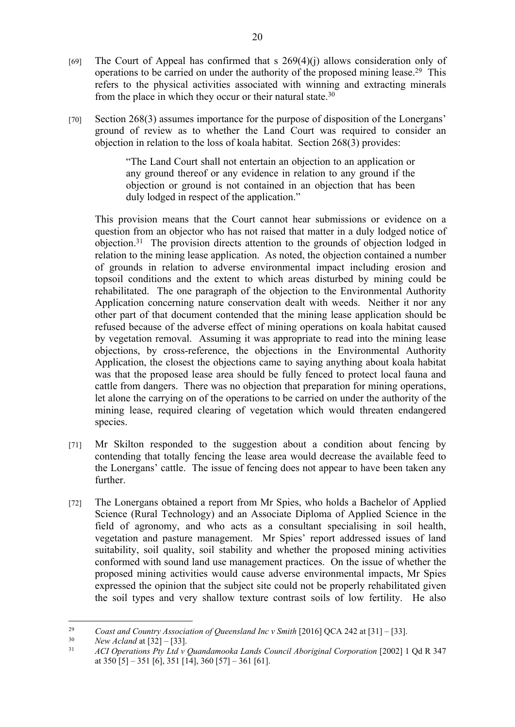- [69] The Court of Appeal has confirmed that s  $269(4)(i)$  allows consideration only of operations to be carried on under the authority of the proposed mining lease.<sup>29</sup> This refers to the physical activities associated with winning and extracting minerals from the place in which they occur or their natural state.<sup>30</sup>
- [70] Section 268(3) assumes importance for the purpose of disposition of the Lonergans' ground of review as to whether the Land Court was required to consider an objection in relation to the loss of koala habitat. Section 268(3) provides:

"The Land Court shall not entertain an objection to an application or any ground thereof or any evidence in relation to any ground if the objection or ground is not contained in an objection that has been duly lodged in respect of the application."

This provision means that the Court cannot hear submissions or evidence on a question from an objector who has not raised that matter in a duly lodged notice of objection.<sup>31</sup> The provision directs attention to the grounds of objection lodged in relation to the mining lease application. As noted, the objection contained a number of grounds in relation to adverse environmental impact including erosion and topsoil conditions and the extent to which areas disturbed by mining could be rehabilitated. The one paragraph of the objection to the Environmental Authority Application concerning nature conservation dealt with weeds. Neither it nor any other part of that document contended that the mining lease application should be refused because of the adverse effect of mining operations on koala habitat caused by vegetation removal. Assuming it was appropriate to read into the mining lease objections, by cross-reference, the objections in the Environmental Authority Application, the closest the objections came to saying anything about koala habitat was that the proposed lease area should be fully fenced to protect local fauna and cattle from dangers. There was no objection that preparation for mining operations, let alone the carrying on of the operations to be carried on under the authority of the mining lease, required clearing of vegetation which would threaten endangered species.

- [71] Mr Skilton responded to the suggestion about a condition about fencing by contending that totally fencing the lease area would decrease the available feed to the Lonergans' cattle. The issue of fencing does not appear to have been taken any further.
- [72] The Lonergans obtained a report from Mr Spies, who holds a Bachelor of Applied Science (Rural Technology) and an Associate Diploma of Applied Science in the field of agronomy, and who acts as a consultant specialising in soil health, vegetation and pasture management. Mr Spies' report addressed issues of land suitability, soil quality, soil stability and whether the proposed mining activities conformed with sound land use management practices. On the issue of whether the proposed mining activities would cause adverse environmental impacts, Mr Spies expressed the opinion that the subject site could not be properly rehabilitated given the soil types and very shallow texture contrast soils of low fertility. He also

<sup>30</sup> *New Acland* at  $[32] - [33]$ .<br><sup>31</sup> *ACL Operations Pty Ltd y i* 

<sup>&</sup>lt;sup>29</sup> *Coast and Country Association of Queensland Inc v Smith* [2016] QCA 242 at [31] – [33].<br><sup>30</sup> *New Acland at* [32] – [33]

<sup>31</sup> *ACI Operations Pty Ltd v Quandamooka Lands Council Aboriginal Corporation* [2002] 1 Qd R 347 at  $350$  [5] –  $351$  [6],  $351$  [14],  $360$  [57] –  $361$  [61].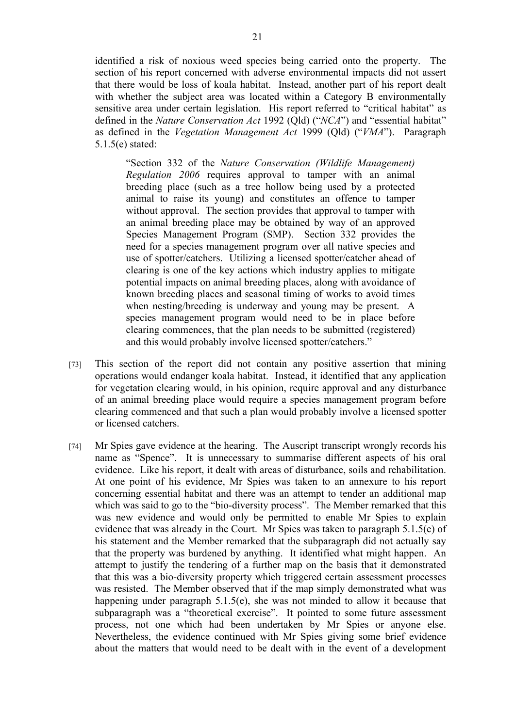identified a risk of noxious weed species being carried onto the property. The section of his report concerned with adverse environmental impacts did not assert that there would be loss of koala habitat. Instead, another part of his report dealt with whether the subject area was located within a Category B environmentally sensitive area under certain legislation. His report referred to "critical habitat" as defined in the *Nature Conservation Act* 1992 (Qld) ("*NCA*") and "essential habitat" as defined in the *Vegetation Management Act* 1999 (Qld) ("*VMA*"). Paragraph 5.1.5(e) stated:

"Section 332 of the *Nature Conservation (Wildlife Management) Regulation 2006* requires approval to tamper with an animal breeding place (such as a tree hollow being used by a protected animal to raise its young) and constitutes an offence to tamper without approval. The section provides that approval to tamper with an animal breeding place may be obtained by way of an approved Species Management Program (SMP). Section 332 provides the need for a species management program over all native species and use of spotter/catchers. Utilizing a licensed spotter/catcher ahead of clearing is one of the key actions which industry applies to mitigate potential impacts on animal breeding places, along with avoidance of known breeding places and seasonal timing of works to avoid times when nesting/breeding is underway and young may be present. A species management program would need to be in place before clearing commences, that the plan needs to be submitted (registered) and this would probably involve licensed spotter/catchers."

- [73] This section of the report did not contain any positive assertion that mining operations would endanger koala habitat. Instead, it identified that any application for vegetation clearing would, in his opinion, require approval and any disturbance of an animal breeding place would require a species management program before clearing commenced and that such a plan would probably involve a licensed spotter or licensed catchers.
- [74] Mr Spies gave evidence at the hearing. The Auscript transcript wrongly records his name as "Spence". It is unnecessary to summarise different aspects of his oral evidence. Like his report, it dealt with areas of disturbance, soils and rehabilitation. At one point of his evidence, Mr Spies was taken to an annexure to his report concerning essential habitat and there was an attempt to tender an additional map which was said to go to the "bio-diversity process". The Member remarked that this was new evidence and would only be permitted to enable Mr Spies to explain evidence that was already in the Court. Mr Spies was taken to paragraph 5.1.5(e) of his statement and the Member remarked that the subparagraph did not actually say that the property was burdened by anything. It identified what might happen. An attempt to justify the tendering of a further map on the basis that it demonstrated that this was a bio-diversity property which triggered certain assessment processes was resisted. The Member observed that if the map simply demonstrated what was happening under paragraph 5.1.5(e), she was not minded to allow it because that subparagraph was a "theoretical exercise". It pointed to some future assessment process, not one which had been undertaken by Mr Spies or anyone else. Nevertheless, the evidence continued with Mr Spies giving some brief evidence about the matters that would need to be dealt with in the event of a development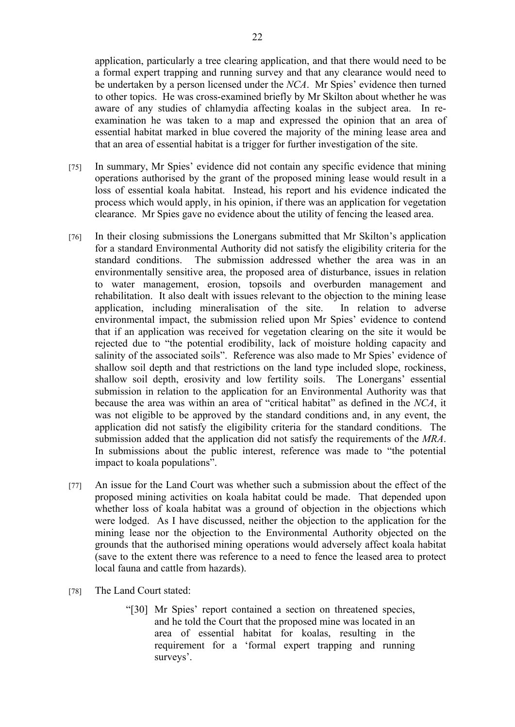application, particularly a tree clearing application, and that there would need to be a formal expert trapping and running survey and that any clearance would need to be undertaken by a person licensed under the *NCA*. Mr Spies' evidence then turned to other topics. He was cross-examined briefly by Mr Skilton about whether he was aware of any studies of chlamydia affecting koalas in the subject area. In reexamination he was taken to a map and expressed the opinion that an area of essential habitat marked in blue covered the majority of the mining lease area and that an area of essential habitat is a trigger for further investigation of the site.

- [75] In summary, Mr Spies' evidence did not contain any specific evidence that mining operations authorised by the grant of the proposed mining lease would result in a loss of essential koala habitat. Instead, his report and his evidence indicated the process which would apply, in his opinion, if there was an application for vegetation clearance. Mr Spies gave no evidence about the utility of fencing the leased area.
- [76] In their closing submissions the Lonergans submitted that Mr Skilton's application for a standard Environmental Authority did not satisfy the eligibility criteria for the standard conditions. The submission addressed whether the area was in an environmentally sensitive area, the proposed area of disturbance, issues in relation to water management, erosion, topsoils and overburden management and rehabilitation. It also dealt with issues relevant to the objection to the mining lease application, including mineralisation of the site. In relation to adverse environmental impact, the submission relied upon Mr Spies' evidence to contend that if an application was received for vegetation clearing on the site it would be rejected due to "the potential erodibility, lack of moisture holding capacity and salinity of the associated soils". Reference was also made to Mr Spies' evidence of shallow soil depth and that restrictions on the land type included slope, rockiness, shallow soil depth, erosivity and low fertility soils. The Lonergans' essential submission in relation to the application for an Environmental Authority was that because the area was within an area of "critical habitat" as defined in the *NCA*, it was not eligible to be approved by the standard conditions and, in any event, the application did not satisfy the eligibility criteria for the standard conditions. The submission added that the application did not satisfy the requirements of the *MRA*. In submissions about the public interest, reference was made to "the potential impact to koala populations".
- [77] An issue for the Land Court was whether such a submission about the effect of the proposed mining activities on koala habitat could be made. That depended upon whether loss of koala habitat was a ground of objection in the objections which were lodged. As I have discussed, neither the objection to the application for the mining lease nor the objection to the Environmental Authority objected on the grounds that the authorised mining operations would adversely affect koala habitat (save to the extent there was reference to a need to fence the leased area to protect local fauna and cattle from hazards).
- [78] The Land Court stated:
	- "[30] Mr Spies' report contained a section on threatened species, and he told the Court that the proposed mine was located in an area of essential habitat for koalas, resulting in the requirement for a 'formal expert trapping and running surveys'.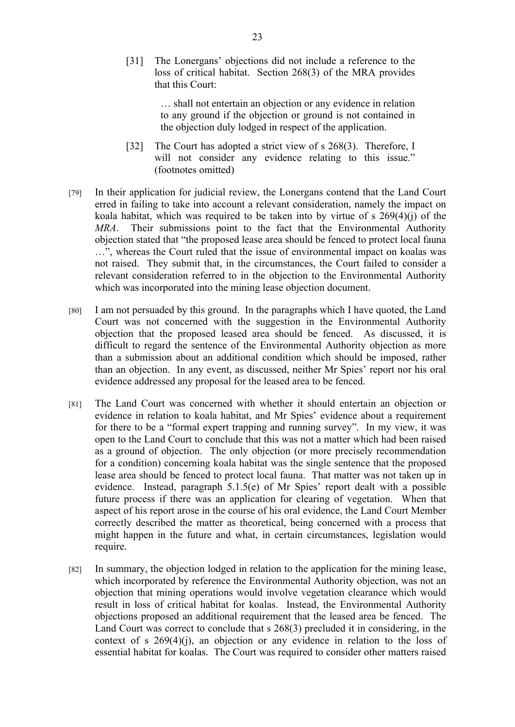[31] The Lonergans' objections did not include a reference to the loss of critical habitat. Section 268(3) of the MRA provides that this Court:

> … shall not entertain an objection or any evidence in relation to any ground if the objection or ground is not contained in the objection duly lodged in respect of the application.

- [32] The Court has adopted a strict view of s 268(3). Therefore, I will not consider any evidence relating to this issue." (footnotes omitted)
- [79] In their application for judicial review, the Lonergans contend that the Land Court erred in failing to take into account a relevant consideration, namely the impact on koala habitat, which was required to be taken into by virtue of  $s$  269(4)(j) of the *MRA*. Their submissions point to the fact that the Environmental Authority objection stated that "the proposed lease area should be fenced to protect local fauna …", whereas the Court ruled that the issue of environmental impact on koalas was not raised. They submit that, in the circumstances, the Court failed to consider a relevant consideration referred to in the objection to the Environmental Authority which was incorporated into the mining lease objection document.
- [80] I am not persuaded by this ground. In the paragraphs which I have quoted, the Land Court was not concerned with the suggestion in the Environmental Authority objection that the proposed leased area should be fenced. As discussed, it is difficult to regard the sentence of the Environmental Authority objection as more than a submission about an additional condition which should be imposed, rather than an objection. In any event, as discussed, neither Mr Spies' report nor his oral evidence addressed any proposal for the leased area to be fenced.
- [81] The Land Court was concerned with whether it should entertain an objection or evidence in relation to koala habitat, and Mr Spies' evidence about a requirement for there to be a "formal expert trapping and running survey". In my view, it was open to the Land Court to conclude that this was not a matter which had been raised as a ground of objection. The only objection (or more precisely recommendation for a condition) concerning koala habitat was the single sentence that the proposed lease area should be fenced to protect local fauna. That matter was not taken up in evidence. Instead, paragraph 5.1.5(e) of Mr Spies' report dealt with a possible future process if there was an application for clearing of vegetation. When that aspect of his report arose in the course of his oral evidence, the Land Court Member correctly described the matter as theoretical, being concerned with a process that might happen in the future and what, in certain circumstances, legislation would require.
- [82] In summary, the objection lodged in relation to the application for the mining lease, which incorporated by reference the Environmental Authority objection, was not an objection that mining operations would involve vegetation clearance which would result in loss of critical habitat for koalas. Instead, the Environmental Authority objections proposed an additional requirement that the leased area be fenced. The Land Court was correct to conclude that s 268(3) precluded it in considering, in the context of s  $269(4)(i)$ , an objection or any evidence in relation to the loss of essential habitat for koalas. The Court was required to consider other matters raised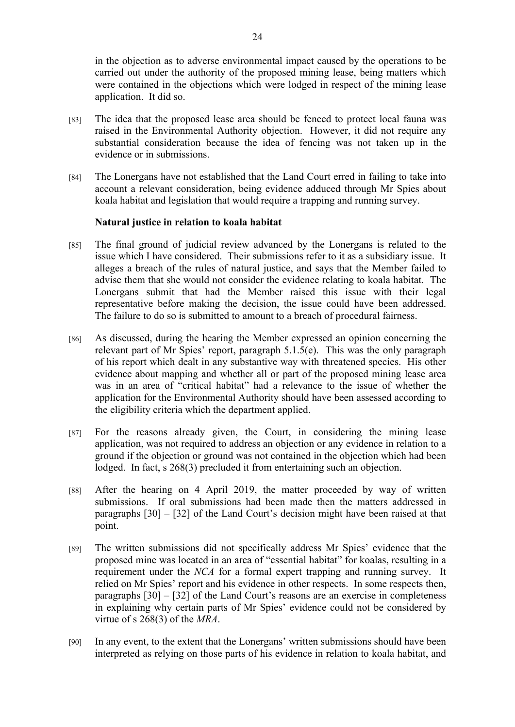in the objection as to adverse environmental impact caused by the operations to be carried out under the authority of the proposed mining lease, being matters which were contained in the objections which were lodged in respect of the mining lease application. It did so.

- [83] The idea that the proposed lease area should be fenced to protect local fauna was raised in the Environmental Authority objection. However, it did not require any substantial consideration because the idea of fencing was not taken up in the evidence or in submissions.
- [84] The Lonergans have not established that the Land Court erred in failing to take into account a relevant consideration, being evidence adduced through Mr Spies about koala habitat and legislation that would require a trapping and running survey.

## **Natural justice in relation to koala habitat**

- [85] The final ground of judicial review advanced by the Lonergans is related to the issue which I have considered. Their submissions refer to it as a subsidiary issue. It alleges a breach of the rules of natural justice, and says that the Member failed to advise them that she would not consider the evidence relating to koala habitat. The Lonergans submit that had the Member raised this issue with their legal representative before making the decision, the issue could have been addressed. The failure to do so is submitted to amount to a breach of procedural fairness.
- [86] As discussed, during the hearing the Member expressed an opinion concerning the relevant part of Mr Spies' report, paragraph 5.1.5(e). This was the only paragraph of his report which dealt in any substantive way with threatened species. His other evidence about mapping and whether all or part of the proposed mining lease area was in an area of "critical habitat" had a relevance to the issue of whether the application for the Environmental Authority should have been assessed according to the eligibility criteria which the department applied.
- [87] For the reasons already given, the Court, in considering the mining lease application, was not required to address an objection or any evidence in relation to a ground if the objection or ground was not contained in the objection which had been lodged. In fact, s 268(3) precluded it from entertaining such an objection.
- [88] After the hearing on 4 April 2019, the matter proceeded by way of written submissions. If oral submissions had been made then the matters addressed in paragraphs [30] – [32] of the Land Court's decision might have been raised at that point.
- [89] The written submissions did not specifically address Mr Spies' evidence that the proposed mine was located in an area of "essential habitat" for koalas, resulting in a requirement under the *NCA* for a formal expert trapping and running survey. It relied on Mr Spies' report and his evidence in other respects. In some respects then, paragraphs [30] – [32] of the Land Court's reasons are an exercise in completeness in explaining why certain parts of Mr Spies' evidence could not be considered by virtue of s 268(3) of the *MRA*.
- [90] In any event, to the extent that the Lonergans' written submissions should have been interpreted as relying on those parts of his evidence in relation to koala habitat, and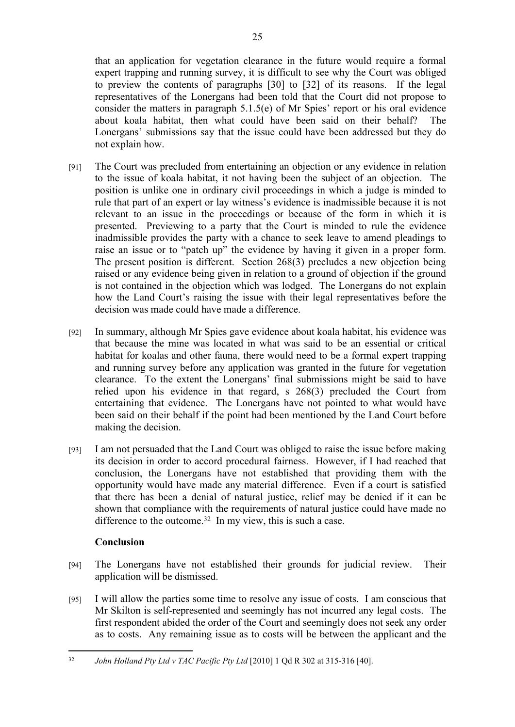that an application for vegetation clearance in the future would require a formal expert trapping and running survey, it is difficult to see why the Court was obliged to preview the contents of paragraphs [30] to [32] of its reasons. If the legal representatives of the Lonergans had been told that the Court did not propose to consider the matters in paragraph 5.1.5(e) of Mr Spies' report or his oral evidence about koala habitat, then what could have been said on their behalf? The Lonergans' submissions say that the issue could have been addressed but they do not explain how.

- [91] The Court was precluded from entertaining an objection or any evidence in relation to the issue of koala habitat, it not having been the subject of an objection. The position is unlike one in ordinary civil proceedings in which a judge is minded to rule that part of an expert or lay witness's evidence is inadmissible because it is not relevant to an issue in the proceedings or because of the form in which it is presented. Previewing to a party that the Court is minded to rule the evidence inadmissible provides the party with a chance to seek leave to amend pleadings to raise an issue or to "patch up" the evidence by having it given in a proper form. The present position is different. Section 268(3) precludes a new objection being raised or any evidence being given in relation to a ground of objection if the ground is not contained in the objection which was lodged. The Lonergans do not explain how the Land Court's raising the issue with their legal representatives before the decision was made could have made a difference.
- [92] In summary, although Mr Spies gave evidence about koala habitat, his evidence was that because the mine was located in what was said to be an essential or critical habitat for koalas and other fauna, there would need to be a formal expert trapping and running survey before any application was granted in the future for vegetation clearance. To the extent the Lonergans' final submissions might be said to have relied upon his evidence in that regard, s 268(3) precluded the Court from entertaining that evidence. The Lonergans have not pointed to what would have been said on their behalf if the point had been mentioned by the Land Court before making the decision.
- [93] I am not persuaded that the Land Court was obliged to raise the issue before making its decision in order to accord procedural fairness. However, if I had reached that conclusion, the Lonergans have not established that providing them with the opportunity would have made any material difference. Even if a court is satisfied that there has been a denial of natural justice, relief may be denied if it can be shown that compliance with the requirements of natural justice could have made no difference to the outcome.<sup>32</sup> In my view, this is such a case.

# **Conclusion**

- [94] The Lonergans have not established their grounds for judicial review. Their application will be dismissed.
- [95] I will allow the parties some time to resolve any issue of costs. I am conscious that Mr Skilton is self-represented and seemingly has not incurred any legal costs. The first respondent abided the order of the Court and seemingly does not seek any order as to costs. Any remaining issue as to costs will be between the applicant and the

<sup>32</sup> *John Holland Pty Ltd v TAC Pacific Pty Ltd* [2010] 1 Qd R 302 at 315-316 [40].